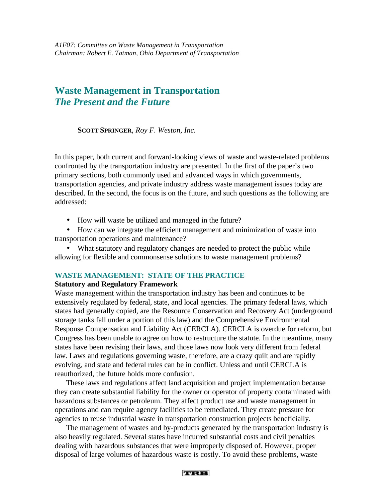# **Waste Management in Transportation** *The Present and the Future*

**SCOTT SPRINGER**, *Roy F. Weston, Inc.*

In this paper, both current and forward-looking views of waste and waste-related problems confronted by the transportation industry are presented. In the first of the paper's two primary sections, both commonly used and advanced ways in which governments, transportation agencies, and private industry address waste management issues today are described. In the second, the focus is on the future, and such questions as the following are addressed:

• How will waste be utilized and managed in the future?

• How can we integrate the efficient management and minimization of waste into transportation operations and maintenance?

• What statutory and regulatory changes are needed to protect the public while allowing for flexible and commonsense solutions to waste management problems?

# **WASTE MANAGEMENT: STATE OF THE PRACTICE**

# **Statutory and Regulatory Framework**

Waste management within the transportation industry has been and continues to be extensively regulated by federal, state, and local agencies. The primary federal laws, which states had generally copied, are the Resource Conservation and Recovery Act (underground storage tanks fall under a portion of this law) and the Comprehensive Environmental Response Compensation and Liability Act (CERCLA). CERCLA is overdue for reform, but Congress has been unable to agree on how to restructure the statute. In the meantime, many states have been revising their laws, and those laws now look very different from federal law. Laws and regulations governing waste, therefore, are a crazy quilt and are rapidly evolving, and state and federal rules can be in conflict. Unless and until CERCLA is reauthorized, the future holds more confusion.

These laws and regulations affect land acquisition and project implementation because they can create substantial liability for the owner or operator of property contaminated with hazardous substances or petroleum. They affect product use and waste management in operations and can require agency facilities to be remediated. They create pressure for agencies to reuse industrial waste in transportation construction projects beneficially.

The management of wastes and by-products generated by the transportation industry is also heavily regulated. Several states have incurred substantial costs and civil penalties dealing with hazardous substances that were improperly disposed of. However, proper disposal of large volumes of hazardous waste is costly. To avoid these problems, waste

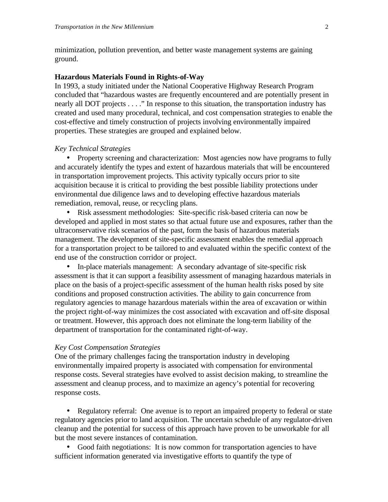minimization, pollution prevention, and better waste management systems are gaining ground.

# **Hazardous Materials Found in Rights-of-Way**

In 1993, a study initiated under the National Cooperative Highway Research Program concluded that "hazardous wastes are frequently encountered and are potentially present in nearly all DOT projects . . . ." In response to this situation, the transportation industry has created and used many procedural, technical, and cost compensation strategies to enable the cost-effective and timely construction of projects involving environmentally impaired properties. These strategies are grouped and explained below.

#### *Key Technical Strategies*

• Property screening and characterization: Most agencies now have programs to fully and accurately identify the types and extent of hazardous materials that will be encountered in transportation improvement projects. This activity typically occurs prior to site acquisition because it is critical to providing the best possible liability protections under environmental due diligence laws and to developing effective hazardous materials remediation, removal, reuse, or recycling plans.

• Risk assessment methodologies: Site-specific risk-based criteria can now be developed and applied in most states so that actual future use and exposures, rather than the ultraconservative risk scenarios of the past, form the basis of hazardous materials management. The development of site-specific assessment enables the remedial approach for a transportation project to be tailored to and evaluated within the specific context of the end use of the construction corridor or project.

• In-place materials management: A secondary advantage of site-specific risk assessment is that it can support a feasibility assessment of managing hazardous materials in place on the basis of a project-specific assessment of the human health risks posed by site conditions and proposed construction activities. The ability to gain concurrence from regulatory agencies to manage hazardous materials within the area of excavation or within the project right-of-way minimizes the cost associated with excavation and off-site disposal or treatment. However, this approach does not eliminate the long-term liability of the department of transportation for the contaminated right-of-way.

#### *Key Cost Compensation Strategies*

One of the primary challenges facing the transportation industry in developing environmentally impaired property is associated with compensation for environmental response costs. Several strategies have evolved to assist decision making, to streamline the assessment and cleanup process, and to maximize an agency's potential for recovering response costs.

• Regulatory referral: One avenue is to report an impaired property to federal or state regulatory agencies prior to land acquisition. The uncertain schedule of any regulator-driven cleanup and the potential for success of this approach have proven to be unworkable for all but the most severe instances of contamination.

• Good faith negotiations: It is now common for transportation agencies to have sufficient information generated via investigative efforts to quantify the type of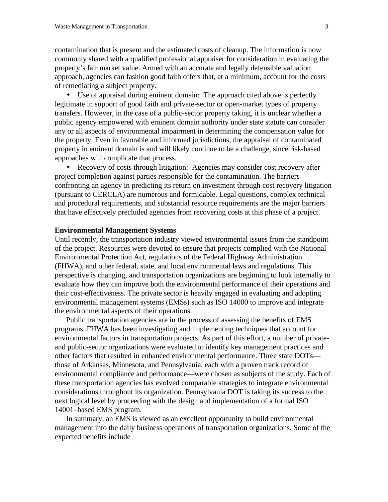contamination that is present and the estimated costs of cleanup. The information is now commonly shared with a qualified professional appraiser for consideration in evaluating the property's fair market value. Armed with an accurate and legally defensible valuation approach, agencies can fashion good faith offers that, at a minimum, account for the costs of remediating a subject property.

• Use of appraisal during eminent domain: The approach cited above is perfectly legitimate in support of good faith and private-sector or open-market types of property transfers. However, in the case of a public-sector property taking, it is unclear whether a public agency empowered with eminent domain authority under state statute can consider any or all aspects of environmental impairment in determining the compensation value for the property. Even in favorable and informed jurisdictions, the appraisal of contaminated property in eminent domain is and will likely continue to be a challenge, since risk-based approaches will complicate that process.

• Recovery of costs through litigation: Agencies may consider cost recovery after project completion against parties responsible for the contamination. The barriers confronting an agency in predicting its return on investment through cost recovery litigation (pursuant to CERCLA) are numerous and formidable. Legal questions, complex technical and procedural requirements, and substantial resource requirements are the major barriers that have effectively precluded agencies from recovering costs at this phase of a project.

## **Environmental Management Systems**

Until recently, the transportation industry viewed environmental issues from the standpoint of the project. Resources were devoted to ensure that projects complied with the National Environmental Protection Act, regulations of the Federal Highway Administration (FHWA), and other federal, state, and local environmental laws and regulations. This perspective is changing, and transportation organizations are beginning to look internally to evaluate how they can improve both the environmental performance of their operations and their cost-effectiveness. The private sector is heavily engaged in evaluating and adopting environmental management systems (EMSs) such as ISO 14000 to improve and integrate the environmental aspects of their operations.

Public transportation agencies are in the process of assessing the benefits of EMS programs. FHWA has been investigating and implementing techniques that account for environmental factors in transportation projects. As part of this effort, a number of privateand public-sector organizations were evaluated to identify key management practices and other factors that resulted in enhanced environmental performance. Three state DOTs those of Arkansas, Minnesota, and Pennsylvania, each with a proven track record of environmental compliance and performance—were chosen as subjects of the study. Each of these transportation agencies has evolved comparable strategies to integrate environmental considerations throughout its organization. Pennsylvania DOT is taking its success to the next logical level by proceeding with the design and implementation of a formal ISO 14001–based EMS program.

In summary, an EMS is viewed as an excellent opportunity to build environmental management into the daily business operations of transportation organizations. Some of the expected benefits include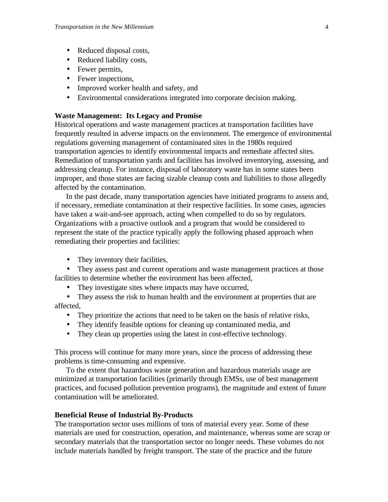- Reduced disposal costs,
- Reduced liability costs,
- Fewer permits,
- Fewer inspections,
- Improved worker health and safety, and
- Environmental considerations integrated into corporate decision making.

# **Waste Management: Its Legacy and Promise**

Historical operations and waste management practices at transportation facilities have frequently resulted in adverse impacts on the environment. The emergence of environmental regulations governing management of contaminated sites in the 1980s required transportation agencies to identify environmental impacts and remediate affected sites. Remediation of transportation yards and facilities has involved inventorying, assessing, and addressing cleanup. For instance, disposal of laboratory waste has in some states been improper, and those states are facing sizable cleanup costs and liabilities to those allegedly affected by the contamination.

In the past decade, many transportation agencies have initiated programs to assess and, if necessary, remediate contamination at their respective facilities. In some cases, agencies have taken a wait-and-see approach, acting when compelled to do so by regulators. Organizations with a proactive outlook and a program that would be considered to represent the state of the practice typically apply the following phased approach when remediating their properties and facilities:

• They inventory their facilities,

• They assess past and current operations and waste management practices at those facilities to determine whether the environment has been affected,

• They investigate sites where impacts may have occurred,

• They assess the risk to human health and the environment at properties that are affected,

- They prioritize the actions that need to be taken on the basis of relative risks,
- They identify feasible options for cleaning up contaminated media, and
- They clean up properties using the latest in cost-effective technology.

This process will continue for many more years, since the process of addressing these problems is time-consuming and expensive.

To the extent that hazardous waste generation and hazardous materials usage are minimized at transportation facilities (primarily through EMSs, use of best management practices, and focused pollution prevention programs), the magnitude and extent of future contamination will be ameliorated.

# **Beneficial Reuse of Industrial By-Products**

The transportation sector uses millions of tons of material every year. Some of these materials are used for construction, operation, and maintenance, whereas some are scrap or secondary materials that the transportation sector no longer needs. These volumes do not include materials handled by freight transport. The state of the practice and the future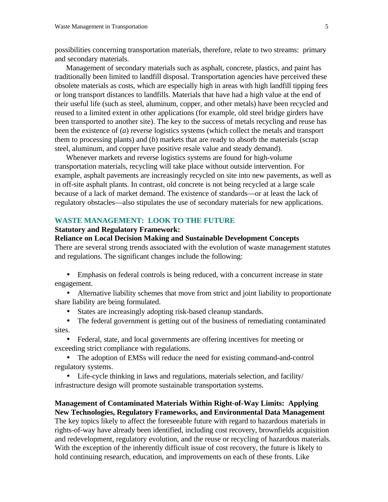possibilities concerning transportation materials, therefore, relate to two streams: primary and secondary materials.

Management of secondary materials such as asphalt, concrete, plastics, and paint has traditionally been limited to landfill disposal. Transportation agencies have perceived these obsolete materials as costs, which are especially high in areas with high landfill tipping fees or long transport distances to landfills. Materials that have had a high value at the end of their useful life (such as steel, aluminum, copper, and other metals) have been recycled and reused to a limited extent in other applications (for example, old steel bridge girders have been transported to another site). The key to the success of metals recycling and reuse has been the existence of (*a*) reverse logistics systems (which collect the metals and transport them to processing plants) and (*b*) markets that are ready to absorb the materials (scrap steel, aluminum, and copper have positive resale value and steady demand).

Whenever markets and reverse logistics systems are found for high-volume transportation materials, recycling will take place without outside intervention. For example, asphalt pavements are increasingly recycled on site into new pavements, as well as in off-site asphalt plants. In contrast, old concrete is not being recycled at a large scale because of a lack of market demand. The existence of standards—or at least the lack of regulatory obstacles—also stipulates the use of secondary materials for new applications.

# **WASTE MANAGEMENT: LOOK TO THE FUTURE**

## **Statutory and Regulatory Framework:**

# **Reliance on Local Decision Making and Sustainable Development Concepts**

There are several strong trends associated with the evolution of waste management statutes and regulations. The significant changes include the following:

• Emphasis on federal controls is being reduced, with a concurrent increase in state engagement.

• Alternative liability schemes that move from strict and joint liability to proportionate share liability are being formulated.

- States are increasingly adopting risk-based cleanup standards.
- The federal government is getting out of the business of remediating contaminated sites.

• Federal, state, and local governments are offering incentives for meeting or exceeding strict compliance with regulations.

• The adoption of EMSs will reduce the need for existing command-and-control regulatory systems.

• Life-cycle thinking in laws and regulations, materials selection, and facility/ infrastructure design will promote sustainable transportation systems.

# **Management of Contaminated Materials Within Right-of-Way Limits: Applying New Technologies, Regulatory Frameworks, and Environmental Data Management**

The key topics likely to affect the foreseeable future with regard to hazardous materials in rights-of-way have already been identified, including cost recovery, brownfields acquisition and redevelopment, regulatory evolution, and the reuse or recycling of hazardous materials. With the exception of the inherently difficult issue of cost recovery, the future is likely to hold continuing research, education, and improvements on each of these fronts. Like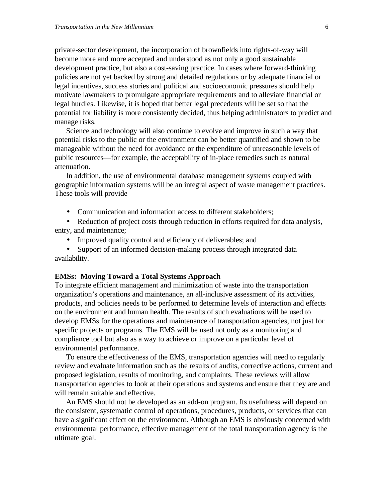private-sector development, the incorporation of brownfields into rights-of-way will become more and more accepted and understood as not only a good sustainable development practice, but also a cost-saving practice. In cases where forward-thinking policies are not yet backed by strong and detailed regulations or by adequate financial or legal incentives, success stories and political and socioeconomic pressures should help motivate lawmakers to promulgate appropriate requirements and to alleviate financial or legal hurdles. Likewise, it is hoped that better legal precedents will be set so that the potential for liability is more consistently decided, thus helping administrators to predict and manage risks.

Science and technology will also continue to evolve and improve in such a way that potential risks to the public or the environment can be better quantified and shown to be manageable without the need for avoidance or the expenditure of unreasonable levels of public resources—for example, the acceptability of in-place remedies such as natural attenuation.

In addition, the use of environmental database management systems coupled with geographic information systems will be an integral aspect of waste management practices. These tools will provide

• Communication and information access to different stakeholders;

• Reduction of project costs through reduction in efforts required for data analysis, entry, and maintenance;

• Improved quality control and efficiency of deliverables; and

• Support of an informed decision-making process through integrated data availability.

#### **EMSs: Moving Toward a Total Systems Approach**

To integrate efficient management and minimization of waste into the transportation organization's operations and maintenance, an all-inclusive assessment of its activities, products, and policies needs to be performed to determine levels of interaction and effects on the environment and human health. The results of such evaluations will be used to develop EMSs for the operations and maintenance of transportation agencies, not just for specific projects or programs. The EMS will be used not only as a monitoring and compliance tool but also as a way to achieve or improve on a particular level of environmental performance.

To ensure the effectiveness of the EMS, transportation agencies will need to regularly review and evaluate information such as the results of audits, corrective actions, current and proposed legislation, results of monitoring, and complaints. These reviews will allow transportation agencies to look at their operations and systems and ensure that they are and will remain suitable and effective.

An EMS should not be developed as an add-on program. Its usefulness will depend on the consistent, systematic control of operations, procedures, products, or services that can have a significant effect on the environment. Although an EMS is obviously concerned with environmental performance, effective management of the total transportation agency is the ultimate goal.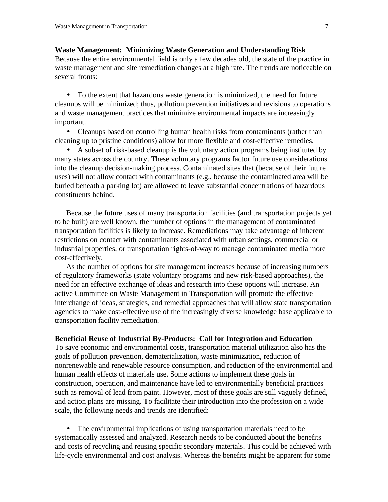#### **Waste Management: Minimizing Waste Generation and Understanding Risk**

Because the entire environmental field is only a few decades old, the state of the practice in waste management and site remediation changes at a high rate. The trends are noticeable on several fronts:

• To the extent that hazardous waste generation is minimized, the need for future cleanups will be minimized; thus, pollution prevention initiatives and revisions to operations and waste management practices that minimize environmental impacts are increasingly important.

• Cleanups based on controlling human health risks from contaminants (rather than cleaning up to pristine conditions) allow for more flexible and cost-effective remedies.

• A subset of risk-based cleanup is the voluntary action programs being instituted by many states across the country. These voluntary programs factor future use considerations into the cleanup decision-making process. Contaminated sites that (because of their future uses) will not allow contact with contaminants (e.g., because the contaminated area will be buried beneath a parking lot) are allowed to leave substantial concentrations of hazardous constituents behind.

Because the future uses of many transportation facilities (and transportation projects yet to be built) are well known, the number of options in the management of contaminated transportation facilities is likely to increase. Remediations may take advantage of inherent restrictions on contact with contaminants associated with urban settings, commercial or industrial properties, or transportation rights-of-way to manage contaminated media more cost-effectively.

As the number of options for site management increases because of increasing numbers of regulatory frameworks (state voluntary programs and new risk-based approaches), the need for an effective exchange of ideas and research into these options will increase. An active Committee on Waste Management in Transportation will promote the effective interchange of ideas, strategies, and remedial approaches that will allow state transportation agencies to make cost-effective use of the increasingly diverse knowledge base applicable to transportation facility remediation.

## **Beneficial Reuse of Industrial By-Products: Call for Integration and Education**

To save economic and environmental costs, transportation material utilization also has the goals of pollution prevention, dematerialization, waste minimization, reduction of nonrenewable and renewable resource consumption, and reduction of the environmental and human health effects of materials use. Some actions to implement these goals in construction, operation, and maintenance have led to environmentally beneficial practices such as removal of lead from paint. However, most of these goals are still vaguely defined, and action plans are missing. To facilitate their introduction into the profession on a wide scale, the following needs and trends are identified:

• The environmental implications of using transportation materials need to be systematically assessed and analyzed. Research needs to be conducted about the benefits and costs of recycling and reusing specific secondary materials. This could be achieved with life-cycle environmental and cost analysis. Whereas the benefits might be apparent for some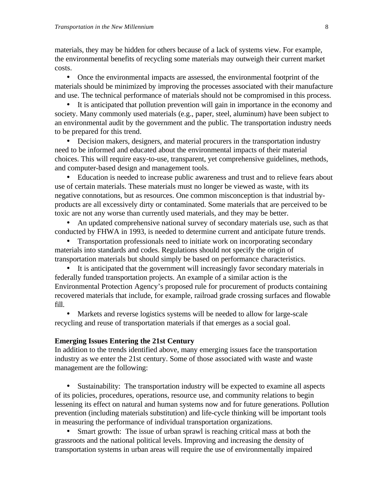materials, they may be hidden for others because of a lack of systems view. For example, the environmental benefits of recycling some materials may outweigh their current market costs.

• Once the environmental impacts are assessed, the environmental footprint of the materials should be minimized by improving the processes associated with their manufacture and use. The technical performance of materials should not be compromised in this process.

• It is anticipated that pollution prevention will gain in importance in the economy and society. Many commonly used materials (e.g., paper, steel, aluminum) have been subject to an environmental audit by the government and the public. The transportation industry needs to be prepared for this trend.

• Decision makers, designers, and material procurers in the transportation industry need to be informed and educated about the environmental impacts of their material choices. This will require easy-to-use, transparent, yet comprehensive guidelines, methods, and computer-based design and management tools.

• Education is needed to increase public awareness and trust and to relieve fears about use of certain materials. These materials must no longer be viewed as waste, with its negative connotations, but as resources. One common misconception is that industrial byproducts are all excessively dirty or contaminated. Some materials that are perceived to be toxic are not any worse than currently used materials, and they may be better.

• An updated comprehensive national survey of secondary materials use, such as that conducted by FHWA in 1993, is needed to determine current and anticipate future trends.

• Transportation professionals need to initiate work on incorporating secondary materials into standards and codes. Regulations should not specify the origin of transportation materials but should simply be based on performance characteristics.

• It is anticipated that the government will increasingly favor secondary materials in federally funded transportation projects. An example of a similar action is the Environmental Protection Agency's proposed rule for procurement of products containing recovered materials that include, for example, railroad grade crossing surfaces and flowable fill.

• Markets and reverse logistics systems will be needed to allow for large-scale recycling and reuse of transportation materials if that emerges as a social goal.

# **Emerging Issues Entering the 21st Century**

In addition to the trends identified above, many emerging issues face the transportation industry as we enter the 21st century. Some of those associated with waste and waste management are the following:

Sustainability: The transportation industry will be expected to examine all aspects of its policies, procedures, operations, resource use, and community relations to begin lessening its effect on natural and human systems now and for future generations. Pollution prevention (including materials substitution) and life-cycle thinking will be important tools in measuring the performance of individual transportation organizations.

• Smart growth: The issue of urban sprawl is reaching critical mass at both the grassroots and the national political levels. Improving and increasing the density of transportation systems in urban areas will require the use of environmentally impaired